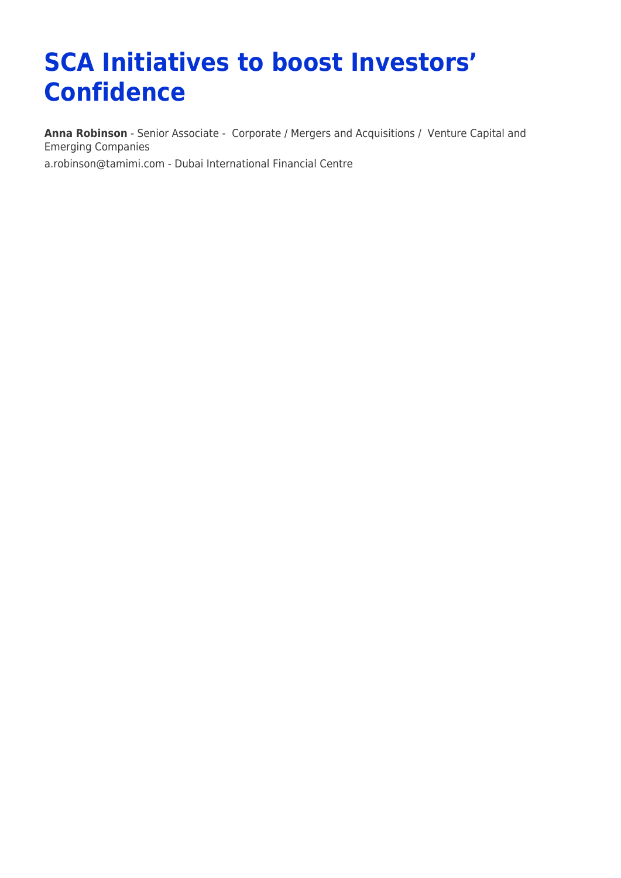## **SCA Initiatives to boost Investors' Confidence**

**[Anna Robinson](https://www.tamimi.com/find-a-lawyer/anna-robinson/)** - Senior Associate - [Corporate / Mergers and Acquisitions](https://www.tamimi.com/client-services/practices/corporate-mergers-acquisitions/) / [Venture Capital and](https://www.tamimi.com/client-services/practices/venture-capital-emerging-companies/) [Emerging Companies](https://www.tamimi.com/client-services/practices/venture-capital-emerging-companies/) [a.robinson@tamimi.com](mailto:a.robinson@tamimi.com) - [Dubai International Financial Centre](https://www.tamimi.com/locations/uae/)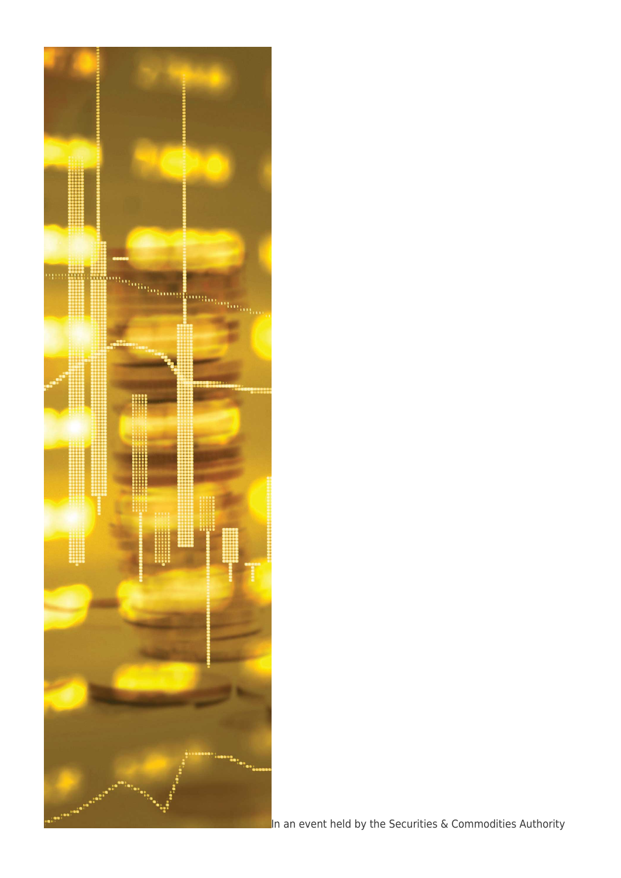

In an event held by the Securities & Commodities Authority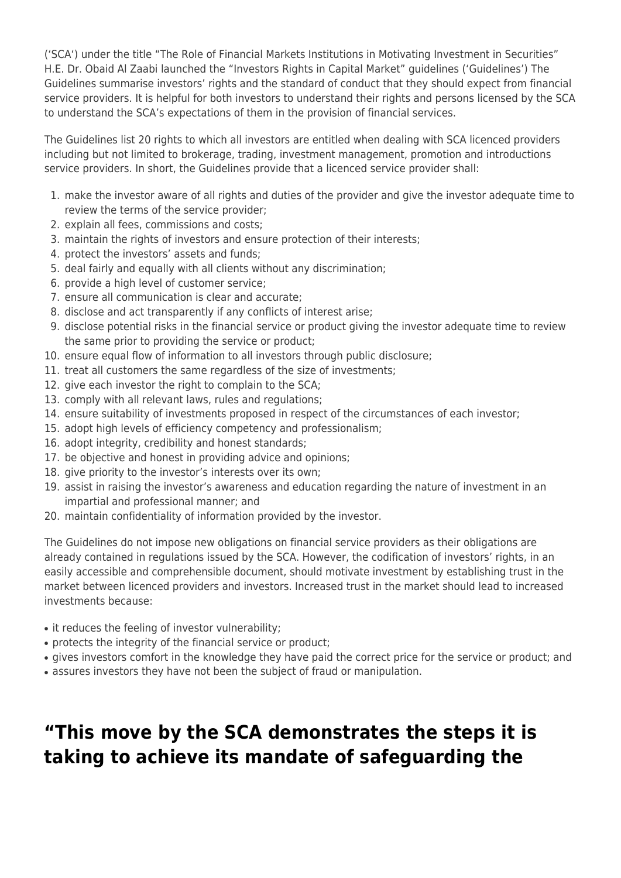('SCA') under the title "The Role of Financial Markets Institutions in Motivating Investment in Securities" H.E. Dr. Obaid Al Zaabi launched the "Investors Rights in Capital Market" guidelines ('Guidelines') The Guidelines summarise investors' rights and the standard of conduct that they should expect from financial service providers. It is helpful for both investors to understand their rights and persons licensed by the SCA to understand the SCA's expectations of them in the provision of financial services.

The Guidelines list 20 rights to which all investors are entitled when dealing with SCA licenced providers including but not limited to brokerage, trading, investment management, promotion and introductions service providers. In short, the Guidelines provide that a licenced service provider shall:

- 1. make the investor aware of all rights and duties of the provider and give the investor adequate time to review the terms of the service provider;
- 2. explain all fees, commissions and costs;
- 3. maintain the rights of investors and ensure protection of their interests;
- 4. protect the investors' assets and funds;
- 5. deal fairly and equally with all clients without any discrimination;
- 6. provide a high level of customer service;
- 7. ensure all communication is clear and accurate;
- 8. disclose and act transparently if any conflicts of interest arise;
- 9. disclose potential risks in the financial service or product giving the investor adequate time to review the same prior to providing the service or product;
- 10. ensure equal flow of information to all investors through public disclosure;
- 11. treat all customers the same regardless of the size of investments;
- 12. give each investor the right to complain to the SCA;
- 13. comply with all relevant laws, rules and regulations;
- 14. ensure suitability of investments proposed in respect of the circumstances of each investor;
- 15. adopt high levels of efficiency competency and professionalism;
- 16. adopt integrity, credibility and honest standards;
- 17. be objective and honest in providing advice and opinions;
- 18. give priority to the investor's interests over its own;
- 19. assist in raising the investor's awareness and education regarding the nature of investment in an impartial and professional manner; and
- 20. maintain confidentiality of information provided by the investor.

The Guidelines do not impose new obligations on financial service providers as their obligations are already contained in regulations issued by the SCA. However, the codification of investors' rights, in an easily accessible and comprehensible document, should motivate investment by establishing trust in the market between licenced providers and investors. Increased trust in the market should lead to increased investments because:

- it reduces the feeling of investor vulnerability;
- protects the integrity of the financial service or product;
- gives investors comfort in the knowledge they have paid the correct price for the service or product; and
- assures investors they have not been the subject of fraud or manipulation.

## **"This move by the SCA demonstrates the steps it is taking to achieve its mandate of safeguarding the**